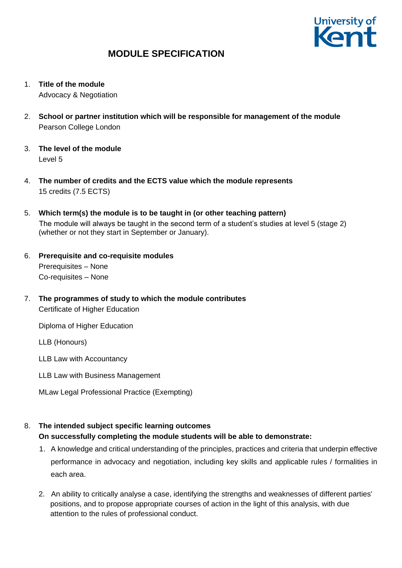

- 1. **Title of the module** Advocacy & Negotiation
- 2. **School or partner institution which will be responsible for management of the module** Pearson College London
- 3. **The level of the module**  Level 5
- 4. **The number of credits and the ECTS value which the module represents**  15 credits (7.5 ECTS)
- 5. **Which term(s) the module is to be taught in (or other teaching pattern)** The module will always be taught in the second term of a student's studies at level 5 (stage 2) (whether or not they start in September or January).
- 6. **Prerequisite and co-requisite modules** Prerequisites – None Co-requisites – None
- 7. **The programmes of study to which the module contributes** Certificate of Higher Education

Diploma of Higher Education

LLB (Honours)

LLB Law with Accountancy

- LLB Law with Business Management
- MLaw Legal Professional Practice (Exempting)

## 8. **The intended subject specific learning outcomes**

### **On successfully completing the module students will be able to demonstrate:**

- 1. A knowledge and critical understanding of the principles, practices and criteria that underpin effective performance in advocacy and negotiation, including key skills and applicable rules / formalities in each area.
- 2. An ability to critically analyse a case, identifying the strengths and weaknesses of different parties' positions, and to propose appropriate courses of action in the light of this analysis, with due attention to the rules of professional conduct.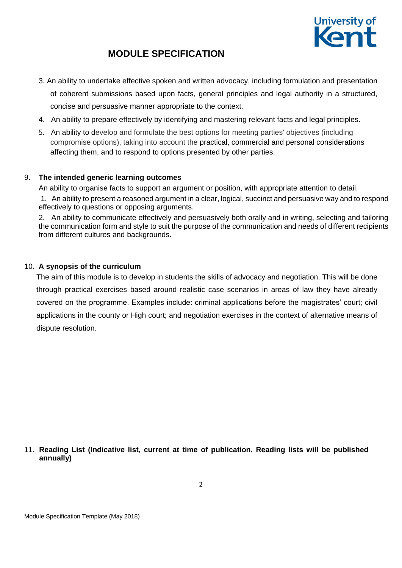

- 3. An ability to undertake effective spoken and written advocacy, including formulation and presentation of coherent submissions based upon facts, general principles and legal authority in a structured, concise and persuasive manner appropriate to the context.
- 4. An ability to prepare effectively by identifying and mastering relevant facts and legal principles.
- 5. An ability to develop and formulate the best options for meeting parties' objectives (including compromise options), taking into account the practical, commercial and personal considerations affecting them, and to respond to options presented by other parties.

### 9. **The intended generic learning outcomes**

An ability to organise facts to support an argument or position, with appropriate attention to detail.

1. An ability to present a reasoned argument in a clear, logical, succinct and persuasive way and to respond effectively to questions or opposing arguments.

2. An ability to communicate effectively and persuasively both orally and in writing, selecting and tailoring the communication form and style to suit the purpose of the communication and needs of different recipients from different cultures and backgrounds.

### 10. **A synopsis of the curriculum**

The aim of this module is to develop in students the skills of advocacy and negotiation. This will be done through practical exercises based around realistic case scenarios in areas of law they have already covered on the programme. Examples include: criminal applications before the magistrates' court; civil applications in the county or High court; and negotiation exercises in the context of alternative means of dispute resolution.

### 11. **Reading List (Indicative list, current at time of publication. Reading lists will be published annually)**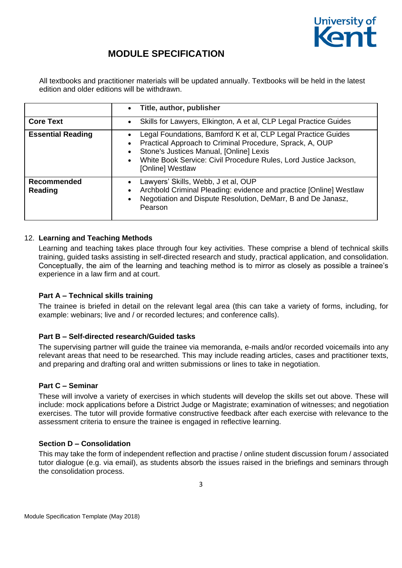

All textbooks and practitioner materials will be updated annually. Textbooks will be held in the latest edition and older editions will be withdrawn.

|                               | Title, author, publisher<br>$\bullet$                                                                                                                                                                                                                        |
|-------------------------------|--------------------------------------------------------------------------------------------------------------------------------------------------------------------------------------------------------------------------------------------------------------|
| <b>Core Text</b>              | Skills for Lawyers, Elkington, A et al, CLP Legal Practice Guides                                                                                                                                                                                            |
| <b>Essential Reading</b>      | Legal Foundations, Bamford K et al, CLP Legal Practice Guides<br>Practical Approach to Criminal Procedure, Sprack, A, OUP<br>Stone's Justices Manual, [Online] Lexis<br>White Book Service: Civil Procedure Rules, Lord Justice Jackson,<br>[Online] Westlaw |
| <b>Recommended</b><br>Reading | Lawyers' Skills, Webb, J et al, OUP<br>Archbold Criminal Pleading: evidence and practice [Online] Westlaw<br>Negotiation and Dispute Resolution, DeMarr, B and De Janasz,<br>$\bullet$<br>Pearson                                                            |

### 12. **Learning and Teaching Methods**

Learning and teaching takes place through four key activities. These comprise a blend of technical skills training, guided tasks assisting in self-directed research and study, practical application, and consolidation. Conceptually, the aim of the learning and teaching method is to mirror as closely as possible a trainee's experience in a law firm and at court.

### **Part A – Technical skills training**

The trainee is briefed in detail on the relevant legal area (this can take a variety of forms, including, for example: webinars; live and / or recorded lectures; and conference calls).

### **Part B – Self-directed research/Guided tasks**

The supervising partner will guide the trainee via memoranda, e-mails and/or recorded voicemails into any relevant areas that need to be researched. This may include reading articles, cases and practitioner texts, and preparing and drafting oral and written submissions or lines to take in negotiation.

#### **Part C – Seminar**

These will involve a variety of exercises in which students will develop the skills set out above. These will include: mock applications before a District Judge or Magistrate; examination of witnesses; and negotiation exercises. The tutor will provide formative constructive feedback after each exercise with relevance to the assessment criteria to ensure the trainee is engaged in reflective learning.

#### **Section D – Consolidation**

This may take the form of independent reflection and practise / online student discussion forum / associated tutor dialogue (e.g. via email), as students absorb the issues raised in the briefings and seminars through the consolidation process.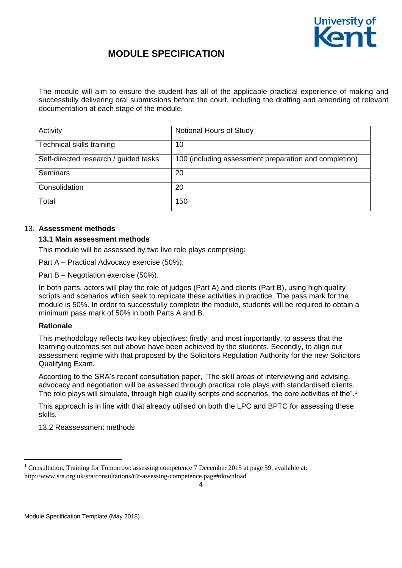

The module will aim to ensure the student has all of the applicable practical experience of making and successfully delivering oral submissions before the court, including the drafting and amending of relevant documentation at each stage of the module.

| Activity                              | Notional Hours of Study                               |
|---------------------------------------|-------------------------------------------------------|
| Technical skills training             | 10                                                    |
| Self-directed research / guided tasks | 100 (including assessment preparation and completion) |
| Seminars                              | 20                                                    |
| Consolidation                         | 20                                                    |
| Total                                 | 150                                                   |

#### 13. **Assessment methods**

### **13.1 Main assessment methods**

This module will be assessed by two live role plays comprising:

Part A – Practical Advocacy exercise (50%);

Part B – Negotiation exercise (50%).

In both parts, actors will play the role of judges (Part A) and clients (Part B), using high quality scripts and scenarios which seek to replicate these activities in practice. The pass mark for the module is 50%. In order to successfully complete the module, students will be required to obtain a minimum pass mark of 50% in both Parts A and B.

### **Rationale**

1

This methodology reflects two key objectives: firstly, and most importantly, to assess that the learning outcomes set out above have been achieved by the students. Secondly, to align our assessment regime with that proposed by the Solicitors Regulation Authority for the new Solicitors Qualifying Exam.

According to the SRA's recent consultation paper, "The skill areas of interviewing and advising, advocacy and negotiation will be assessed through practical role plays with standardised clients. The role plays will simulate, through high quality scripts and scenarios, the core activities of the".<sup>1</sup>

This approach is in line with that already utilised on both the LPC and BPTC for assessing these skills.

13.2 Reassessment methods

<sup>&</sup>lt;sup>1</sup> Consultation, Training for Tomorrow: assessing competence 7 December 2015 at page 59, available at: http://www.sra.org.uk/sra/consultations/t4t-assessing-competence.page#download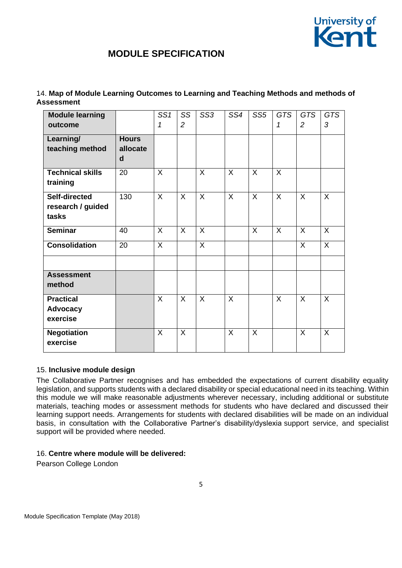

| <b>Module learning</b>  |              | SS <sub>1</sub> | SS             | SS <sub>3</sub> | SS4     | SS <sub>5</sub> | <b>GTS</b> | <b>GTS</b>     | <b>GTS</b> |
|-------------------------|--------------|-----------------|----------------|-----------------|---------|-----------------|------------|----------------|------------|
| outcome                 |              | 1               | $\overline{2}$ |                 |         |                 | 1          | $\overline{2}$ | 3          |
| Learning/               | <b>Hours</b> |                 |                |                 |         |                 |            |                |            |
| teaching method         | allocate     |                 |                |                 |         |                 |            |                |            |
|                         | d            |                 |                |                 |         |                 |            |                |            |
| <b>Technical skills</b> | 20           | X               |                | X               | X       | X               | X          |                |            |
| training                |              |                 |                |                 |         |                 |            |                |            |
| <b>Self-directed</b>    | 130          | $\mathsf{X}$    | $\mathsf{X}$   | $\mathsf{X}$    | $\sf X$ | $\sf X$         | $\sf X$    | $\sf X$        | $\sf X$    |
| research / guided       |              |                 |                |                 |         |                 |            |                |            |
| tasks                   |              |                 |                |                 |         |                 |            |                |            |
| <b>Seminar</b>          | 40           | $\mathsf{X}$    | $\mathsf{X}$   | $\overline{X}$  |         | $\sf X$         | $\sf X$    | $\sf X$        | $\sf X$    |
| <b>Consolidation</b>    | 20           | $\sf X$         |                | X               |         |                 |            | X              | X          |
|                         |              |                 |                |                 |         |                 |            |                |            |
| <b>Assessment</b>       |              |                 |                |                 |         |                 |            |                |            |
| method                  |              |                 |                |                 |         |                 |            |                |            |
| <b>Practical</b>        |              | X               | X              | X               | X       |                 | $\sf X$    | X              | X          |
| Advocacy                |              |                 |                |                 |         |                 |            |                |            |
| exercise                |              |                 |                |                 |         |                 |            |                |            |
| <b>Negotiation</b>      |              | X               | X              |                 | X       | $\sf X$         |            | $\sf X$        | $\sf X$    |
| exercise                |              |                 |                |                 |         |                 |            |                |            |

## 14. **Map of Module Learning Outcomes to Learning and Teaching Methods and methods of Assessment**

### 15. **Inclusive module design**

The Collaborative Partner recognises and has embedded the expectations of current disability equality legislation, and supports students with a declared disability or special educational need in its teaching. Within this module we will make reasonable adjustments wherever necessary, including additional or substitute materials, teaching modes or assessment methods for students who have declared and discussed their learning support needs. Arrangements for students with declared disabilities will be made on an individual basis, in consultation with the Collaborative Partner's disability/dyslexia support service, and specialist support will be provided where needed.

#### 16. **Centre where module will be delivered:**

Pearson College London